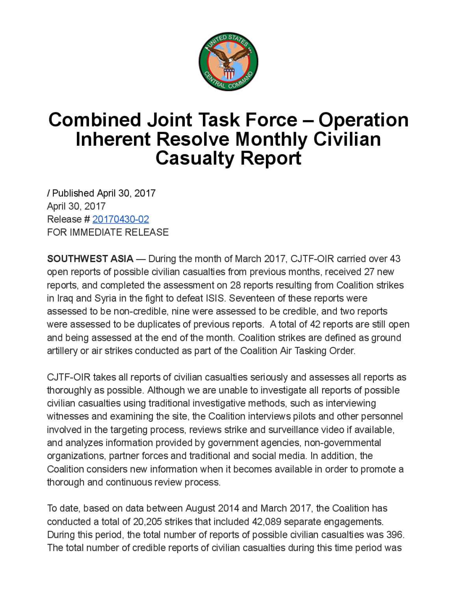

## **Combined Joint Task Force – Operation** Inherent Resolve Monthly Civilian Casualty Report

Published April30, 2017 April 30, 2017 Release # 20170430-02 FOR IMMEDIATE RELEASE

**SOUTHWEST ASIA** — During the month of March 2017, CJTF-OIR carried over 43 open reports of possible civilian casualties from previous months, received 27 new reports, and completed the assessment on 28 reports resulting from Coalition strikes in Iraq and Syria in the fight to defeat ISIS. Seventeen of these reports were assessed to be non-credible, nine were assessed to be credible, and two reports were assessed to be duplicates of previous reports. A total of 42 reports are still open and being assessed at the end of the month. Coalition strikes are defined as ground artillery or air strikes conducted as part of the Coalition Air Tasking Order.

CJTF-OIR takes all reports of civilian casualties seriously and assesses all reports as thoroughly as possible. Although we are unable to investigate all reports of possible civilian casualties using traditional investigative methods, such as interviewing witnesses and examining the site, the Coalition interviews pilots and other personnel involved in the targeting process, reviews strike and surveillance video if available, and analyzes information provided by government agencies, non-governmental organizations, partner forces and traditional and social media. In addition, the Coalition considers new information when it becomes available in order to promote a thorough and continuous review process.

To date, based on data between August 2014 and March 2017, the Coalition has conducted a total of 20,205 strikes that included 42,089 separate engagements. During this period, the total number of reports of possible civilian casualties was 396. The total number of credible reports of civilian casualties during this time period was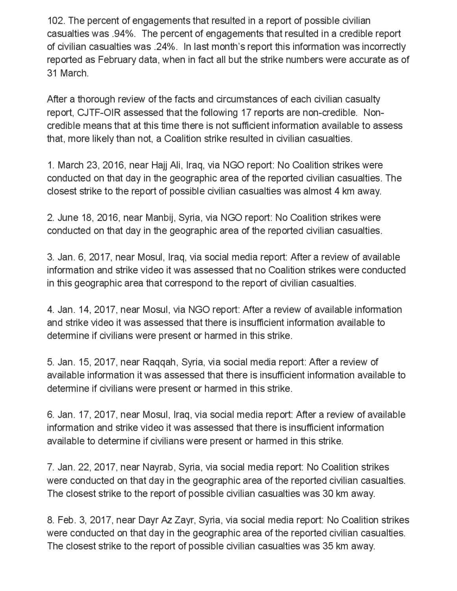102. The percent of engagements that resulted in a report of possible civilian casualties was .94%. The percent of engagements that resulted in a credible report of civilian casualties was .24%. In last month's report this information was incorrectly reported as February data, when in fact all but the strike numbers were accurate as of 31 March

After a thorough review of the facts and circumstances of each civilian casualty report, CJTF-OIR assessed that the following 17 reports are non-credible. Noncredible means that at this time there is not sufficient information available to assess that, more likely than not, a Coalition strike resulted in civilian casualties.

1. March 23, 2016, near Hajj Ali, Iraq, via NGO report: No Coalition strikes were conducted on that day in the geographic area of the reported civilian casualties . The closest strike to the report of possible civilian casualties was almost 4 km away.

2. June 18, 2016, near Manbij, Syria, via NGO report: No Coalition strikes were conducted on that day in the geographic area of the reported civilian casualties .

3. Jan. 6, 2017, near Mosul, Iraq, via social media report: After a review of available information and strike video it was assessed that no Coalition strikes were conducted in this geographic area that correspond to the report of civilian casualties .

4. Jan. 14, 2017, near Mosul, via NGO report: After a review of available information and strike video it was assessed that there is insufficient information available to determine if civilians were present or harmed in this strike.

5. Jan. 15, 2017, near Raqqah, Syria, via social media report: After a review of available information it was assessed that there is insufficient information available to determine if civilians were present or harmed in this strike.

6. Jan. 17, 2017, near Mosul, Iraq, via social media report: After a review of available information and strike video it was assessed that there is insufficient information available to determine if civilians were present or harmed in this strike

7. Jan. 22, 2017, near Nayrab, Syria, via social media report: No Coalition strikes were conducted on that day in the geographic area of the reported civilian casualties. The closest strike to the report of possible civilian casualties was 30 km away.

8. Feb. 3, 2017, near Dayr Az Zayr, Syria, via social media report: No Coalition strikes were conducted on that day in the geographic area of the reported civilian casualties. The closest strike to the report of possible civilian casualties was 35 km away.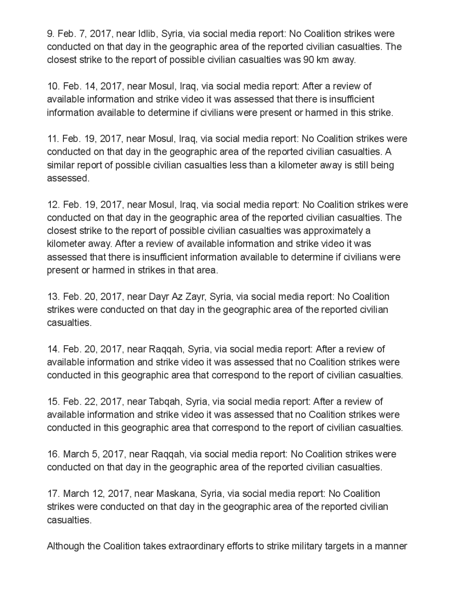9. Feb. 7, 2017 , near Idlib, Syria via social media report: No Coalition strikes were conducted on that day in the geographic area of the reported civilian casualties. The closest strike to the report of possible civilian casualties was 90 km away.

10. Feb. 14, 2017, near Mosul, Iraq, via social media report: After a review of available information and strike video it was assessed that there is insufficient information available to determine if civilians were present or harmed in this strike.

11. Feb. 19, 2017 , near Mosul , Iraq, via social media report: No Coalition strikes were conducted on that day in the geographic area of the reported civilian casualties . A similar report of possible civilian casualties less than a kilometer away is still being assessed .

12. Feb. 19, 2017, near Mosul, Iraq, via social media report: No Coalition strikes were conducted on that day in the geographic area of the reported civilian casualties. The closest strike to the report of possible civilian casualties was approximately a kilometer away. After a review of available information and strike video it was assessed that there is insufficient information available to determine if civilians were present or harmed in strikes in that area.

13. Feb. 20, 2017 near Dayr Az Zayr,Syria , via social media report: No Coalition strikes were conducted on that day in the geographic area of the reported civilian casualties

14. Feb. 20, 2017, near Raggah, Syria, via social media report: After a review of available information and strike video itwas assessed that no Coalition strikes were conducted in this geographic area that correspond to the report of civilian casualties.

15. Feb. 22, 2017 near Tabqah , Syria, via social media report: After a review of available information and strike video it was assessed that no Coalition strikes were conducted in this geographic area that correspond to the report of civilian casualties.

16. March 5, 2017, near Raggah, via social media report: No Coalition strikes were conducted on that day in the geographic area of the reported civilian casualties.

17. March 12, 2017 , near Maskana , Syria , via social media report No Coalition strikes were conducted on that day in the geographic area of the reported civilian casualties

Although the Coalition takes extraordinary efforts to strike military targets in a manner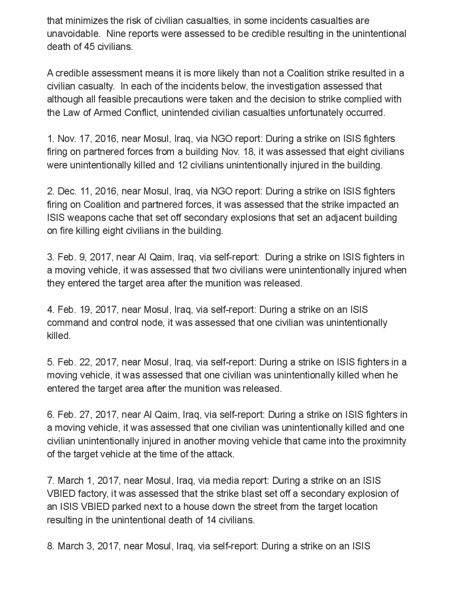that minimizes the risk of civilian casualties, in some incidents casualties are unavoidable. Nine reports were assessed to be credible resulting in the unintentional death of 45 civilians.

A credible assessment means it is more likely than not a Coalition strike resulted in a civilian casualty. In each of the incidents below , the investigation assessed that although all feasible precautions were taken and the decision to strike complied with the Law of Armed Conflict, unintended civilian casualties unfortunately occurred .

1. Nov. 17, 2016, near Mosul, Iraq, via NGO report: During a strike on ISIS fighters firing on partnered forces from a building Nov. 18, it was assessed that eight civilians were unintentionally killed and 12 civilians unintentionally injured in the building .

2. Dec. 11, 2016, near Mosul, Iraq, via NGO report: During a strike on ISIS fighters firing on Coalition and partnered forces, it was assessed that the strike impacted an ISIS weapons cache that set off secondary explosions that set an adjacent building on fire killing eight civilians in the building.

3. Feb. 9 , 2017 , near Al Qaim , Iraq, via self -report: During a strike on ISIS fighters in a moving vehicle , it was assessed that two civilians were unintentionally injured when they entered the target area after the munition was released .

4. Feb. 19, 2017 , near Mosul , Iraq, via self -report: During a strike on an ISIS command and control node, it was assessed that one civilian was unintentionally killed

5. Feb. 22, 2017 , near Mosul , Iraq, via self-report: During a strike on ISIS fighters in a moving vehicle , it was assessed that one civilian was unintentionally killed when he entered the target area after the munition was released .

6. Feb. 27, 2017 , near Al Qaim, Iraq, via self-report: During a strike on ISIS fighters in a moving vehicle, it was assessed that one civilian was unintentionally killed and one civilian unintentionally injured in another moving vehicle that came into the proximnity of the target vehicle at the time of the attack.

7. March 1, 2017, near Mosul, Iraq, via media report: During a strike on an ISIS VBIED factory, it was assessed that the strike blast set off a secondary explosion of an ISIS VBIED parked next to a house down the street from the target location resulting in the unintentional death of 14 civilians.

8. March 3, 2017, near Mosul, Iraq, via self-report: During a strike on an ISIS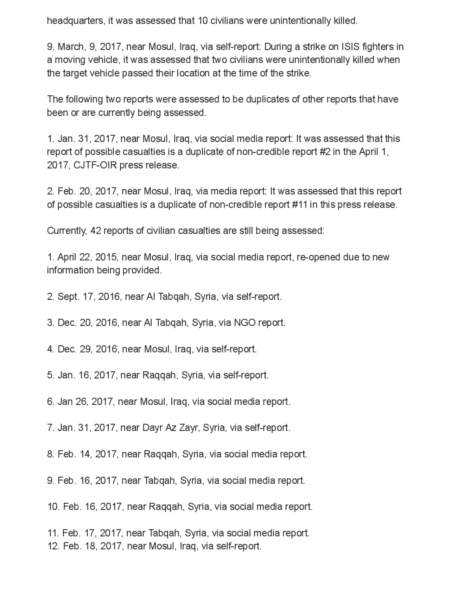headquarters, it was assessed that 10 civilians were unintentionally killed.

9. March, 9, 2017, near Mosul, Iraq, via self-report: During a strike on ISIS fighters in a moving vehicle , it was assessed that two civilians were unintentionally killed when the target vehicle passed their location at the time of the strike.

The following two reports were assessed to be duplicates of other reports that have been or are currently being assessed.

1. Jan. 31, 2017, near Mosul, Iraq, via social media report: It was assessed that this report of possible casualties is a duplicate of non-credible report #2 in the April 1, 2017, CJTF-OIR press release.

2. Feb. 20, 2017, near Mosul, Iraq, via media report: It was assessed that this report of possible casualties is a duplicate of non-credible report# 11 in this press release.

Currently, 42 reports of civilian casualties are still being assessed:

1.April 22, 2015 , near Mosul, Iraq, via social media report, re -opened due to new information being provided .

2. Sept. 17, 2016, near Al Tabqah, Syria, via self-report.

3. Dec. 20, 2016, near Al Tabqah, Syria, via NGO report.

4. Dec. 29, 2016, near Mosul, Iraq, via self-report.

5. Jan. 16 2017, near Raqqah, Syria, via self-report

6. Jan 26, 2017, near Mosul, Iraq, via social media report.

7. Jan. 31, 2017 , near Dayr Az Zayr, Syria , via self-report.

8. Feb. 14, 2017, near Raqqah, Syria, via social media report.

9. Feb. 16, 2017, near Tabqah, Syria, via social media report.

10. Feb. 16, 2017, near Raqqah, Syria, via social media report.

11. Feb. 17, 2017, near Tabqah, Syria, via social media report. 12. Feb. 18, 2017, near Mosul, Iraq, via self-report.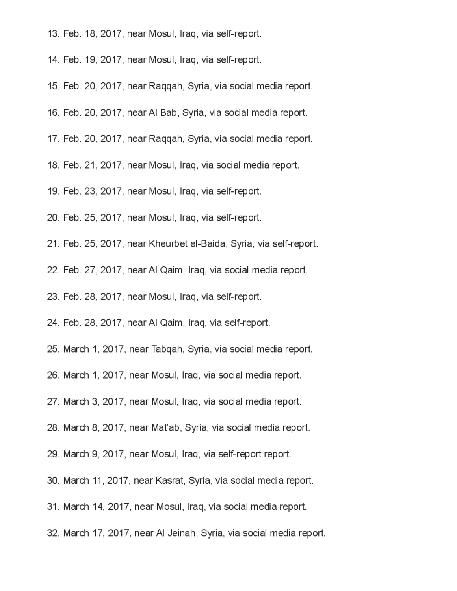- 13. Feb. 18, 2017, near Mosul, Iraq, via self-report.
- 14. Feb. 19, 2017 , near Mosul, Iraq, via self-report.
- 15. Feb. 20, 2017, near Raqqah, Syria, via social media report.
- 16. Feb. 20, 2017, nearAl Bab, Syria, via social media report.
- 17. Feb. 20, 2017, near Raqqah, Syria, via social media report.
- 18. Feb. 21, 2017, near Mosul, Iraq, via social media report.
- 19. Feb. 23, 2017, near Mosul, Iraq, via self-report.
- 20. Feb. 25, 2017, near Mosul, Iraq, via self-report.
- 21. Feb. 25, 2017 , near Kheurbet el-Baida , Syria , via self-report.
- 22. Feb. 27, 2017, near Al Qaim, Iraq, via social media report.
- 23. Feb. 28, 2017, near Mosul, Iraq, via self-report.
- 24. Feb. 28, 2017, near Al Qaim, Iraq, via self-report.
- 25. March 1, 2017, near Tabqah, Syria, via social media report.
- 26. March 1, 2017, near Mosul, Iraq, via social media report.
- 27. March 3, 2017, near Mosul, Iraq, via social media report.
- 28. March 8, 2017, near Mat'ab, Syria, via social media report.
- 29. March 9, 2017, near Mosul, Iraq, via self-report report.
- 30. March 11, 2017 , near Kasrat, Syria , via social media report.
- 31. March 14, 2017 , near Mosul, Iraq, via social media report.
- 32. March 17, 2017, near Al Jeinah, Syria, via social media report.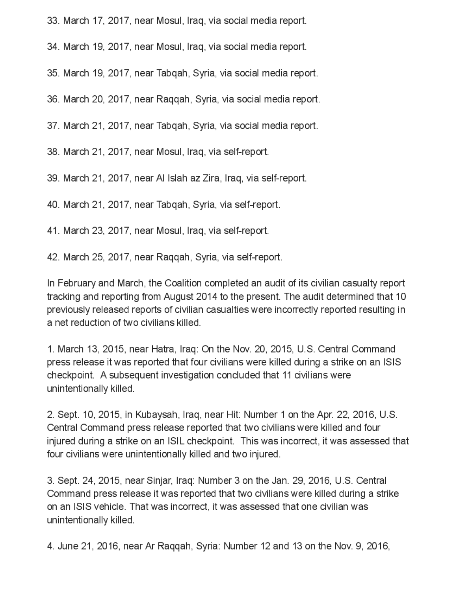33. March 17, 2017 , near Mosul, Iraq, via social media report.

34. March 19, 2017, near Mosul, Iraq, via social media report.

35. March 19, 2017, near Tabqah, Syria, via social media report.

36. March 20, 2017 , near Raqqah, Syria , via social media report.

37. March 21, 2017 , near Tabqah , Syria , via social media report.

38. March 21, 2017 , near Mosul, Iraq, via self-report.

39. March 21, 2017 , near Al Islah az Zira, Iraq, via self-report.

40. March 21, 2017 , near Tabqah , Syria , via self-report.

41. March 23, 2017 , near Mosul, Iraq, via self-report.

42. March 25, 2017, near Raqqah, Syria, via self-report.

In February and March, the Coalition completed an audit of its civilian casualty report tracking and reporting from August 2014 to the present. The audit determined that 10 previously released reports of civilian casualties were incorrectly reported resulting in a net reduction of two civilians killed.

1. March 13, 2015, near Hatra, Iraq: On the Nov. 20, 2015, U.S. Central Command press release it was reported that four civilians were killed during a strike on an ISIS checkpoint. A subsequent investigation concluded that 11 civilians were unintentionally killed.

2. Sept. 10, 2015, in Kubaysah, Iraq, near Hit: Number 1 on the Apr. 22, 2016, U.S. Central Command press release reported that two civilians were killed and four injured during a strike on an ISIL checkpoint. This was incorrect, it was assessed that four civilians were unintentionally killed and two injured.

3. Sept. 24, 2015, near Sinjar, Iraq: Number 3 on the Jan. 29, 2016, U.S. Central Command press release it was reported that two civilians were killed during a strike on an ISIS vehicle. That was incorrect, it was assessed that one civilian was unintentionally killed.

4. June 21, 2016, near Ar Raggah, Syria: Number 12 and 13 on the Nov. 9, 2016,